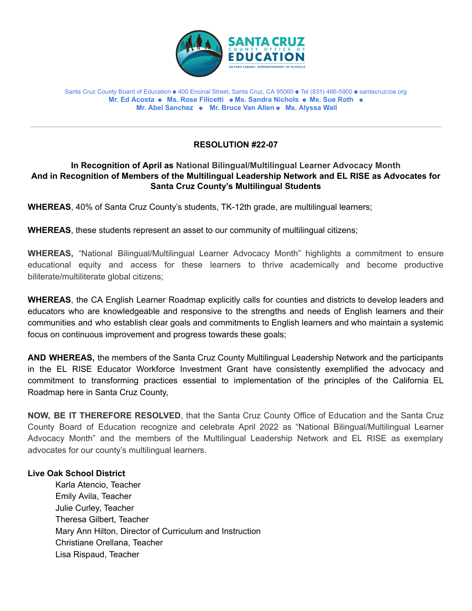

#### Santa Cruz County Board of Education ⚈ 400 Encinal Street, Santa Cruz, CA 95060 ⚈ Tel (831) 466-5900 ⚈ santacruzcoe.org **Mr. Ed Acosta** ⚈ **Ms. Rose Filicetti** ⚈ **Ms. Sandra Nichols** ⚈ **Ms. Sue Roth** ⚈ **Mr. Abel Sanchez** ⚈ **Mr. Bruce Van Allen** ⚈ **Ms. Alyssa Wall**

# **RESOLUTION #22-07**

# **In Recognition of April as National Bilingual/Multilingual Learner Advocacy Month And in Recognition of Members of the Multilingual Leadership Network and EL RISE as Advocates for Santa Cruz County's Multilingual Students**

**WHEREAS**, 40% of Santa Cruz County's students, TK-12th grade, are multilingual learners;

**WHEREAS**, these students represent an asset to our community of multilingual citizens;

**WHEREAS,** "National Bilingual/Multilingual Learner Advocacy Month" highlights a commitment to ensure educational equity and access for these learners to thrive academically and become productive biliterate/multiliterate global citizens;

**WHEREAS**, the CA English Learner Roadmap explicitly calls for counties and districts to develop leaders and educators who are knowledgeable and responsive to the strengths and needs of English learners and their communities and who establish clear goals and commitments to English learners and who maintain a systemic focus on continuous improvement and progress towards these goals;

**AND WHEREAS,** the members of the Santa Cruz County Multilingual Leadership Network and the participants in the EL RISE Educator Workforce Investment Grant have consistently exemplified the advocacy and commitment to transforming practices essential to implementation of the principles of the California EL Roadmap here in Santa Cruz County,

**NOW, BE IT THEREFORE RESOLVED**, that the Santa Cruz County Office of Education and the Santa Cruz County Board of Education recognize and celebrate April 2022 as "National Bilingual/Multilingual Learner Advocacy Month" and the members of the Multilingual Leadership Network and EL RISE as exemplary advocates for our county's multilingual learners.

# **Live Oak School District**

Karla Atencio, Teacher Emily Avila, Teacher Julie Curley, Teacher Theresa Gilbert, Teacher Mary Ann Hilton, Director of Curriculum and Instruction Christiane Orellana, Teacher Lisa Rispaud, Teacher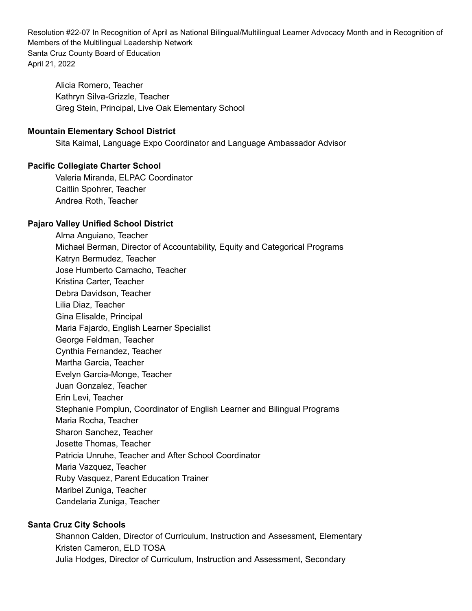Alicia Romero, Teacher Kathryn Silva-Grizzle, Teacher Greg Stein, Principal, Live Oak Elementary School

# **Mountain Elementary School District**

Sita Kaimal, Language Expo Coordinator and Language Ambassador Advisor

### **Pacific Collegiate Charter School**

Valeria Miranda, ELPAC Coordinator Caitlin Spohrer, Teacher Andrea Roth, Teacher

# **Pajaro Valley Unified School District**

Alma Anguiano, Teacher Michael Berman, Director of Accountability, Equity and Categorical Programs Katryn Bermudez, Teacher Jose Humberto Camacho, Teacher Kristina Carter, Teacher Debra Davidson, Teacher Lilia Diaz, Teacher Gina Elisalde, Principal Maria Fajardo, English Learner Specialist George Feldman, Teacher Cynthia Fernandez, Teacher Martha Garcia, Teacher Evelyn Garcia-Monge, Teacher Juan Gonzalez, Teacher Erin Levi, Teacher Stephanie Pomplun, Coordinator of English Learner and Bilingual Programs Maria Rocha, Teacher Sharon Sanchez, Teacher Josette Thomas, Teacher Patricia Unruhe, Teacher and After School Coordinator Maria Vazquez, Teacher Ruby Vasquez, Parent Education Trainer Maribel Zuniga, Teacher Candelaria Zuniga, Teacher

# **Santa Cruz City Schools**

Shannon Calden, Director of Curriculum, Instruction and Assessment, Elementary Kristen Cameron, ELD TOSA Julia Hodges, Director of Curriculum, Instruction and Assessment, Secondary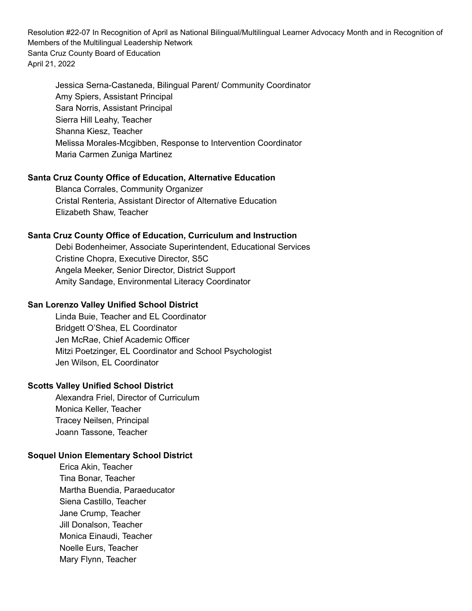Jessica Serna-Castaneda, Bilingual Parent/ Community Coordinator Amy Spiers, Assistant Principal Sara Norris, Assistant Principal Sierra Hill Leahy, Teacher Shanna Kiesz, Teacher Melissa Morales-Mcgibben, Response to Intervention Coordinator Maria Carmen Zuniga Martinez

### **Santa Cruz County Office of Education, Alternative Education**

Blanca Corrales, Community Organizer Cristal Renteria, Assistant Director of Alternative Education Elizabeth Shaw, Teacher

### **Santa Cruz County Office of Education, Curriculum and Instruction**

Debi Bodenheimer, Associate Superintendent, Educational Services Cristine Chopra, Executive Director, S5C Angela Meeker, Senior Director, District Support Amity Sandage, Environmental Literacy Coordinator

#### **San Lorenzo Valley Unified School District**

Linda Buie, Teacher and EL Coordinator Bridgett O'Shea, EL Coordinator Jen McRae, Chief Academic Officer Mitzi Poetzinger, EL Coordinator and School Psychologist Jen Wilson, EL Coordinator

### **Scotts Valley Unified School District**

Alexandra Friel, Director of Curriculum Monica Keller, Teacher Tracey Neilsen, Principal Joann Tassone, Teacher

### **Soquel Union Elementary School District**

Erica Akin, Teacher Tina Bonar, Teacher Martha Buendia, Paraeducator Siena Castillo, Teacher Jane Crump, Teacher Jill Donalson, Teacher Monica Einaudi, Teacher Noelle Eurs, Teacher Mary Flynn, Teacher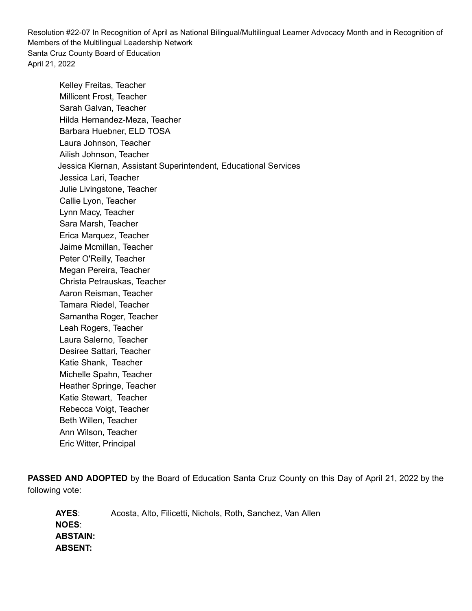Kelley Freitas, Teacher Millicent Frost, Teacher Sarah Galvan, Teacher Hilda Hernandez-Meza, Teacher Barbara Huebner, ELD TOSA Laura Johnson, Teacher Ailish Johnson, Teacher Jessica Kiernan, Assistant Superintendent, Educational Services Jessica Lari, Teacher Julie Livingstone, Teacher Callie Lyon, Teacher Lynn Macy, Teacher Sara Marsh, Teacher Erica Marquez, Teacher Jaime Mcmillan, Teacher Peter O'Reilly, Teacher Megan Pereira, Teacher Christa Petrauskas, Teacher Aaron Reisman, Teacher Tamara Riedel, Teacher Samantha Roger, Teacher Leah Rogers, Teacher Laura Salerno, Teacher Desiree Sattari, Teacher Katie Shank, Teacher Michelle Spahn, Teacher Heather Springe, Teacher Katie Stewart, Teacher Rebecca Voigt, Teacher Beth Willen, Teacher Ann Wilson, Teacher Eric Witter, Principal

**PASSED AND ADOPTED** by the Board of Education Santa Cruz County on this Day of April 21, 2022 by the following vote:

**AYES**: Acosta, Alto, Filicetti, Nichols, Roth, Sanchez, Van Allen **NOES**: **ABSTAIN: ABSENT:**